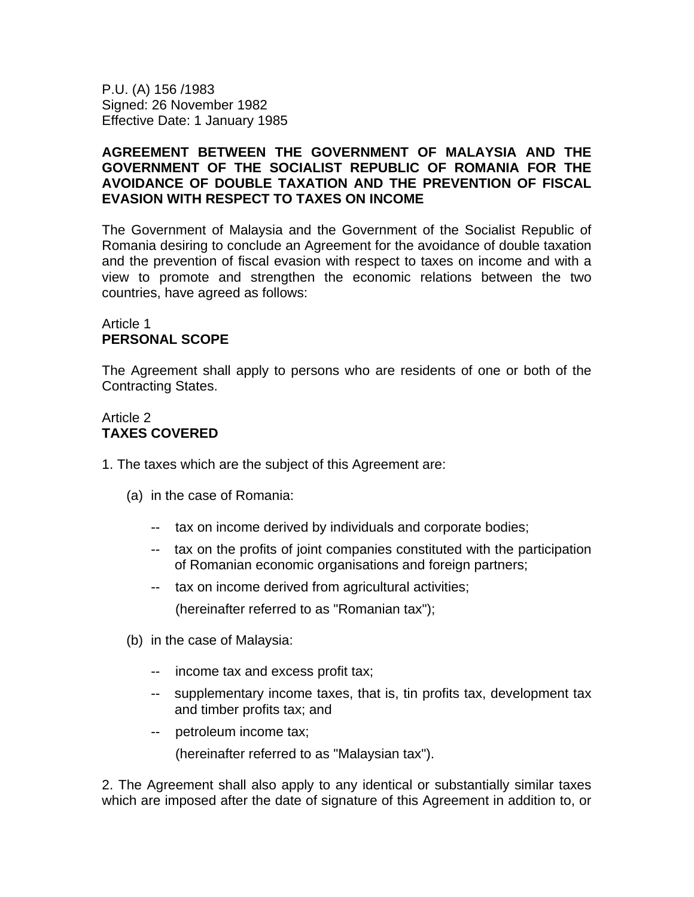P.U. (A) 156 /1983 Signed: 26 November 1982 Effective Date: 1 January 1985

### **AGREEMENT BETWEEN THE GOVERNMENT OF MALAYSIA AND THE GOVERNMENT OF THE SOCIALIST REPUBLIC OF ROMANIA FOR THE AVOIDANCE OF DOUBLE TAXATION AND THE PREVENTION OF FISCAL EVASION WITH RESPECT TO TAXES ON INCOME**

The Government of Malaysia and the Government of the Socialist Republic of Romania desiring to conclude an Agreement for the avoidance of double taxation and the prevention of fiscal evasion with respect to taxes on income and with a view to promote and strengthen the economic relations between the two countries, have agreed as follows:

### Article 1 **PERSONAL SCOPE**

The Agreement shall apply to persons who are residents of one or both of the Contracting States.

# Article 2 **TAXES COVERED**

- 1. The taxes which are the subject of this Agreement are:
	- (a) in the case of Romania:
		- -- tax on income derived by individuals and corporate bodies;
		- -- tax on the profits of joint companies constituted with the participation of Romanian economic organisations and foreign partners;
		- -- tax on income derived from agricultural activities;

(hereinafter referred to as "Romanian tax");

- (b) in the case of Malaysia:
	- -- income tax and excess profit tax;
	- -- supplementary income taxes, that is, tin profits tax, development tax and timber profits tax; and
	- -- petroleum income tax;

(hereinafter referred to as "Malaysian tax").

2. The Agreement shall also apply to any identical or substantially similar taxes which are imposed after the date of signature of this Agreement in addition to, or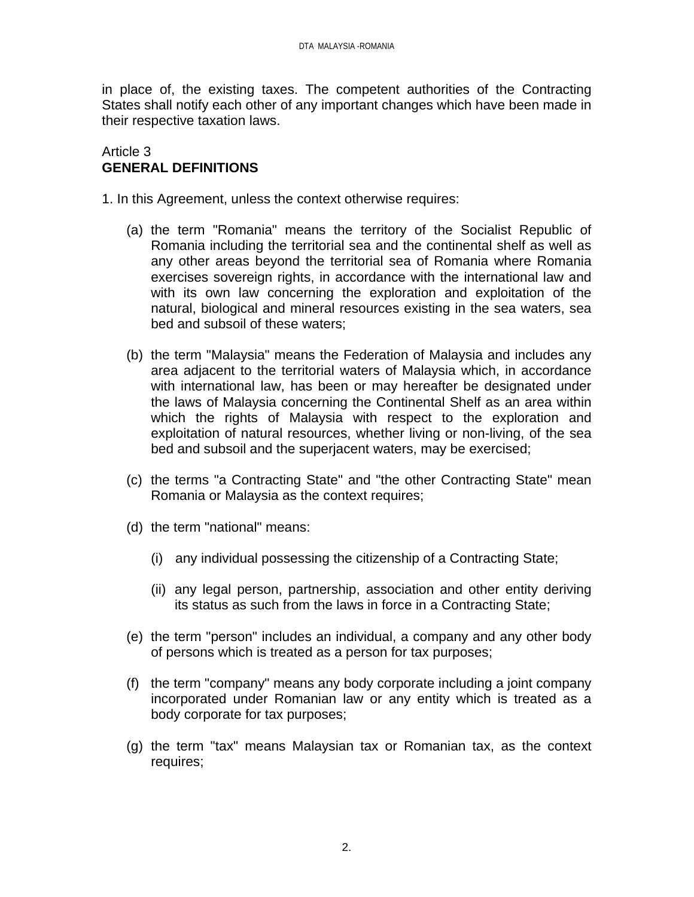in place of, the existing taxes. The competent authorities of the Contracting States shall notify each other of any important changes which have been made in their respective taxation laws.

#### Article 3 **GENERAL DEFINITIONS**

1. In this Agreement, unless the context otherwise requires:

- (a) the term "Romania" means the territory of the Socialist Republic of Romania including the territorial sea and the continental shelf as well as any other areas beyond the territorial sea of Romania where Romania exercises sovereign rights, in accordance with the international law and with its own law concerning the exploration and exploitation of the natural, biological and mineral resources existing in the sea waters, sea bed and subsoil of these waters;
- (b) the term "Malaysia" means the Federation of Malaysia and includes any area adjacent to the territorial waters of Malaysia which, in accordance with international law, has been or may hereafter be designated under the laws of Malaysia concerning the Continental Shelf as an area within which the rights of Malaysia with respect to the exploration and exploitation of natural resources, whether living or non-living, of the sea bed and subsoil and the superjacent waters, may be exercised;
- (c) the terms "a Contracting State" and "the other Contracting State" mean Romania or Malaysia as the context requires;
- (d) the term "national" means:
	- (i) any individual possessing the citizenship of a Contracting State;
	- (ii) any legal person, partnership, association and other entity deriving its status as such from the laws in force in a Contracting State;
- (e) the term "person" includes an individual, a company and any other body of persons which is treated as a person for tax purposes;
- (f) the term "company" means any body corporate including a joint company incorporated under Romanian law or any entity which is treated as a body corporate for tax purposes;
- (g) the term "tax" means Malaysian tax or Romanian tax, as the context requires;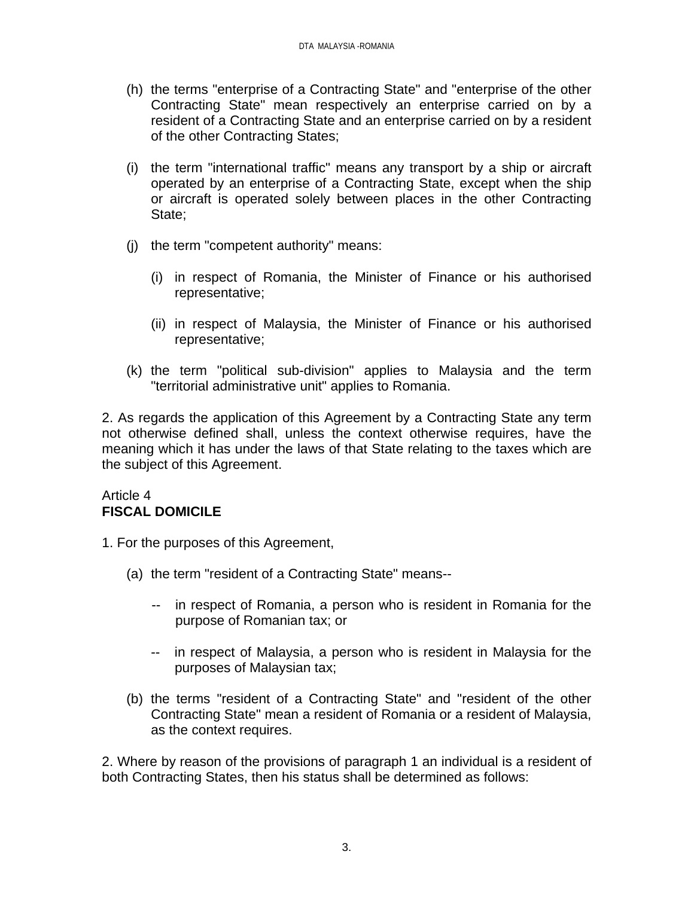- (h) the terms "enterprise of a Contracting State" and "enterprise of the other Contracting State" mean respectively an enterprise carried on by a resident of a Contracting State and an enterprise carried on by a resident of the other Contracting States;
- (i) the term "international traffic" means any transport by a ship or aircraft operated by an enterprise of a Contracting State, except when the ship or aircraft is operated solely between places in the other Contracting State;
- (j) the term "competent authority" means:
	- (i) in respect of Romania, the Minister of Finance or his authorised representative;
	- (ii) in respect of Malaysia, the Minister of Finance or his authorised representative;
- (k) the term "political sub-division" applies to Malaysia and the term "territorial administrative unit" applies to Romania.

2. As regards the application of this Agreement by a Contracting State any term not otherwise defined shall, unless the context otherwise requires, have the meaning which it has under the laws of that State relating to the taxes which are the subject of this Agreement.

## Article 4 **FISCAL DOMICILE**

- 1. For the purposes of this Agreement,
	- (a) the term "resident of a Contracting State" means--
		- -- in respect of Romania, a person who is resident in Romania for the purpose of Romanian tax; or
		- -- in respect of Malaysia, a person who is resident in Malaysia for the purposes of Malaysian tax;
	- (b) the terms "resident of a Contracting State" and "resident of the other Contracting State" mean a resident of Romania or a resident of Malaysia, as the context requires.

2. Where by reason of the provisions of paragraph 1 an individual is a resident of both Contracting States, then his status shall be determined as follows: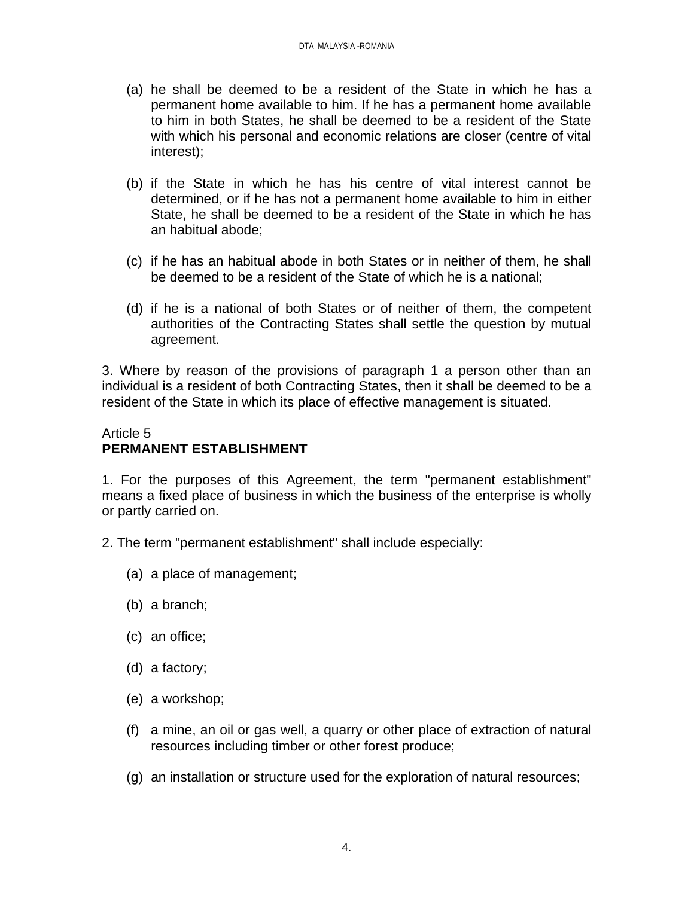- (a) he shall be deemed to be a resident of the State in which he has a permanent home available to him. If he has a permanent home available to him in both States, he shall be deemed to be a resident of the State with which his personal and economic relations are closer (centre of vital interest);
- (b) if the State in which he has his centre of vital interest cannot be determined, or if he has not a permanent home available to him in either State, he shall be deemed to be a resident of the State in which he has an habitual abode;
- (c) if he has an habitual abode in both States or in neither of them, he shall be deemed to be a resident of the State of which he is a national;
- (d) if he is a national of both States or of neither of them, the competent authorities of the Contracting States shall settle the question by mutual agreement.

3. Where by reason of the provisions of paragraph 1 a person other than an individual is a resident of both Contracting States, then it shall be deemed to be a resident of the State in which its place of effective management is situated.

# Article 5 **PERMANENT ESTABLISHMENT**

1. For the purposes of this Agreement, the term "permanent establishment" means a fixed place of business in which the business of the enterprise is wholly or partly carried on.

- 2. The term "permanent establishment" shall include especially:
	- (a) a place of management;
	- (b) a branch;
	- (c) an office;
	- (d) a factory;
	- (e) a workshop;
	- (f) a mine, an oil or gas well, a quarry or other place of extraction of natural resources including timber or other forest produce;
	- (g) an installation or structure used for the exploration of natural resources;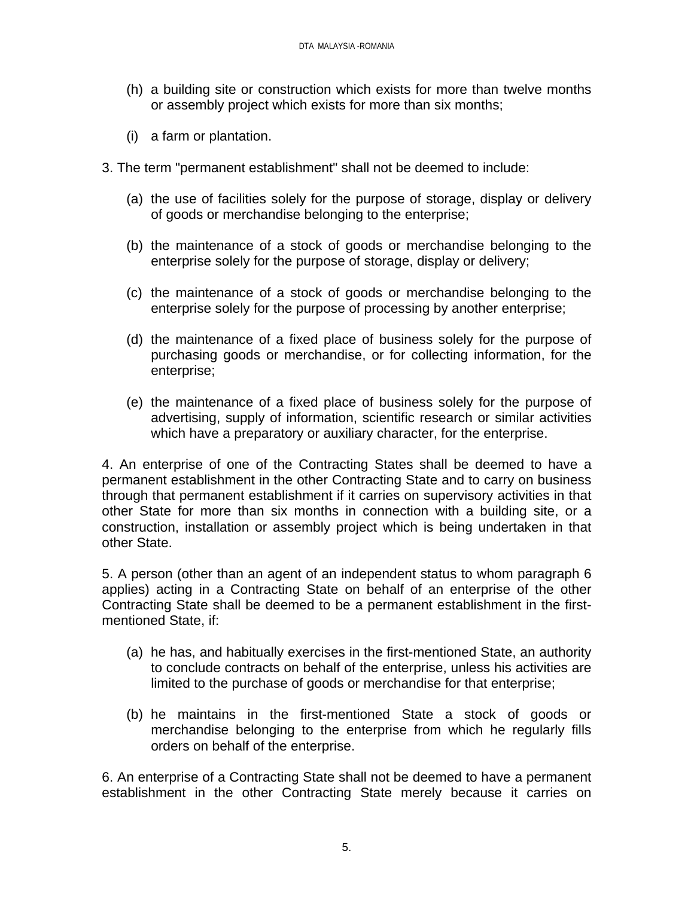- (h) a building site or construction which exists for more than twelve months or assembly project which exists for more than six months;
- (i) a farm or plantation.
- 3. The term "permanent establishment" shall not be deemed to include:
	- (a) the use of facilities solely for the purpose of storage, display or delivery of goods or merchandise belonging to the enterprise;
	- (b) the maintenance of a stock of goods or merchandise belonging to the enterprise solely for the purpose of storage, display or delivery;
	- (c) the maintenance of a stock of goods or merchandise belonging to the enterprise solely for the purpose of processing by another enterprise;
	- (d) the maintenance of a fixed place of business solely for the purpose of purchasing goods or merchandise, or for collecting information, for the enterprise;
	- (e) the maintenance of a fixed place of business solely for the purpose of advertising, supply of information, scientific research or similar activities which have a preparatory or auxiliary character, for the enterprise.

4. An enterprise of one of the Contracting States shall be deemed to have a permanent establishment in the other Contracting State and to carry on business through that permanent establishment if it carries on supervisory activities in that other State for more than six months in connection with a building site, or a construction, installation or assembly project which is being undertaken in that other State.

5. A person (other than an agent of an independent status to whom paragraph 6 applies) acting in a Contracting State on behalf of an enterprise of the other Contracting State shall be deemed to be a permanent establishment in the firstmentioned State, if:

- (a) he has, and habitually exercises in the first-mentioned State, an authority to conclude contracts on behalf of the enterprise, unless his activities are limited to the purchase of goods or merchandise for that enterprise;
- (b) he maintains in the first-mentioned State a stock of goods or merchandise belonging to the enterprise from which he regularly fills orders on behalf of the enterprise.

6. An enterprise of a Contracting State shall not be deemed to have a permanent establishment in the other Contracting State merely because it carries on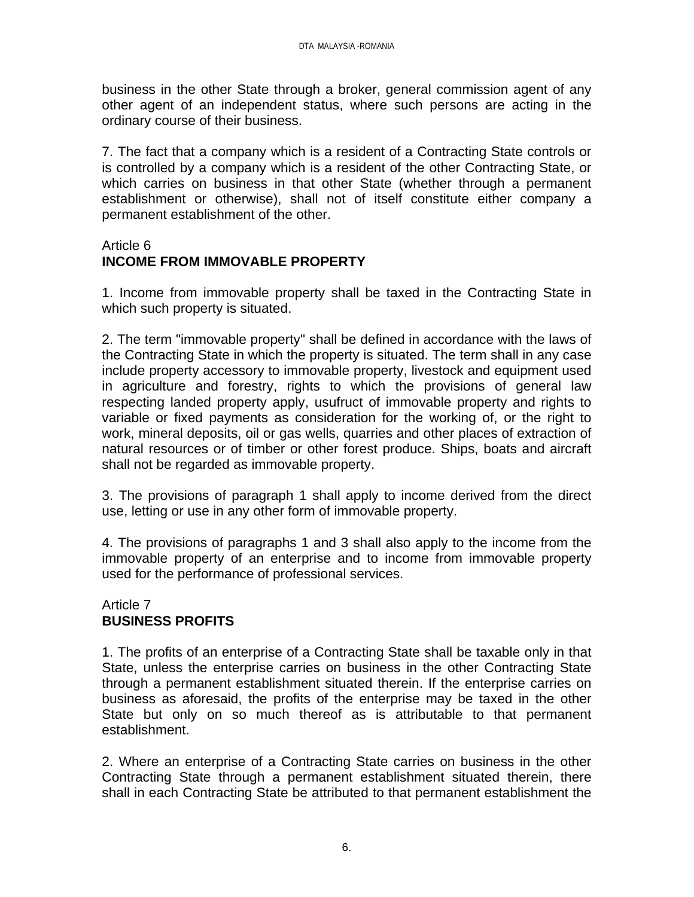business in the other State through a broker, general commission agent of any other agent of an independent status, where such persons are acting in the ordinary course of their business.

7. The fact that a company which is a resident of a Contracting State controls or is controlled by a company which is a resident of the other Contracting State, or which carries on business in that other State (whether through a permanent establishment or otherwise), shall not of itself constitute either company a permanent establishment of the other.

#### Article 6 **INCOME FROM IMMOVABLE PROPERTY**

1. Income from immovable property shall be taxed in the Contracting State in which such property is situated.

2. The term "immovable property" shall be defined in accordance with the laws of the Contracting State in which the property is situated. The term shall in any case include property accessory to immovable property, livestock and equipment used in agriculture and forestry, rights to which the provisions of general law respecting landed property apply, usufruct of immovable property and rights to variable or fixed payments as consideration for the working of, or the right to work, mineral deposits, oil or gas wells, quarries and other places of extraction of natural resources or of timber or other forest produce. Ships, boats and aircraft shall not be regarded as immovable property.

3. The provisions of paragraph 1 shall apply to income derived from the direct use, letting or use in any other form of immovable property.

4. The provisions of paragraphs 1 and 3 shall also apply to the income from the immovable property of an enterprise and to income from immovable property used for the performance of professional services.

## Article 7 **BUSINESS PROFITS**

1. The profits of an enterprise of a Contracting State shall be taxable only in that State, unless the enterprise carries on business in the other Contracting State through a permanent establishment situated therein. If the enterprise carries on business as aforesaid, the profits of the enterprise may be taxed in the other State but only on so much thereof as is attributable to that permanent establishment.

2. Where an enterprise of a Contracting State carries on business in the other Contracting State through a permanent establishment situated therein, there shall in each Contracting State be attributed to that permanent establishment the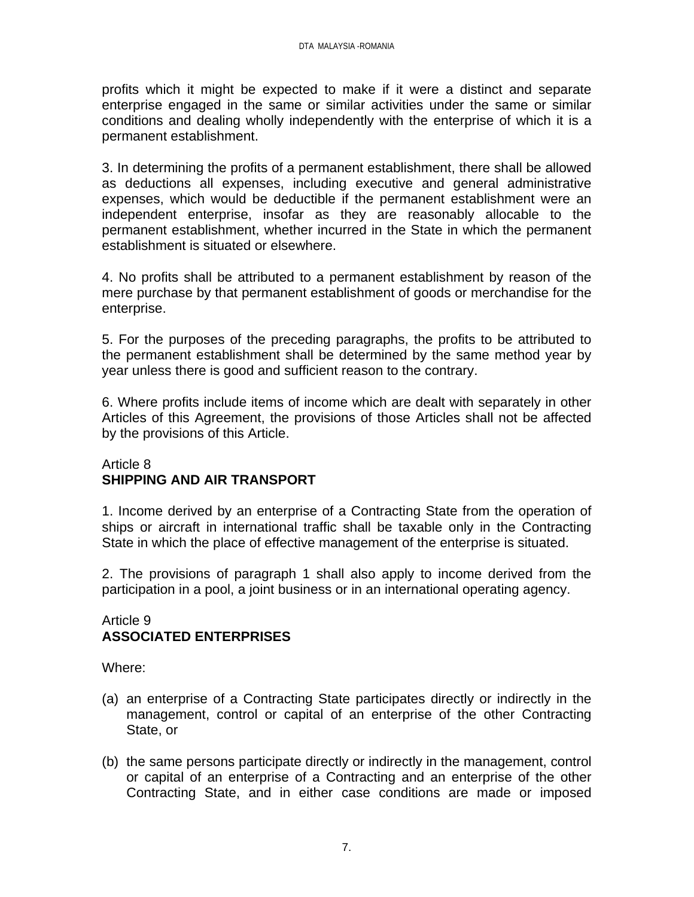profits which it might be expected to make if it were a distinct and separate enterprise engaged in the same or similar activities under the same or similar conditions and dealing wholly independently with the enterprise of which it is a permanent establishment.

3. In determining the profits of a permanent establishment, there shall be allowed as deductions all expenses, including executive and general administrative expenses, which would be deductible if the permanent establishment were an independent enterprise, insofar as they are reasonably allocable to the permanent establishment, whether incurred in the State in which the permanent establishment is situated or elsewhere.

4. No profits shall be attributed to a permanent establishment by reason of the mere purchase by that permanent establishment of goods or merchandise for the enterprise.

5. For the purposes of the preceding paragraphs, the profits to be attributed to the permanent establishment shall be determined by the same method year by year unless there is good and sufficient reason to the contrary.

6. Where profits include items of income which are dealt with separately in other Articles of this Agreement, the provisions of those Articles shall not be affected by the provisions of this Article.

# Article 8 **SHIPPING AND AIR TRANSPORT**

1. Income derived by an enterprise of a Contracting State from the operation of ships or aircraft in international traffic shall be taxable only in the Contracting State in which the place of effective management of the enterprise is situated.

2. The provisions of paragraph 1 shall also apply to income derived from the participation in a pool, a joint business or in an international operating agency.

# Article 9 **ASSOCIATED ENTERPRISES**

Where:

- (a) an enterprise of a Contracting State participates directly or indirectly in the management, control or capital of an enterprise of the other Contracting State, or
- (b) the same persons participate directly or indirectly in the management, control or capital of an enterprise of a Contracting and an enterprise of the other Contracting State, and in either case conditions are made or imposed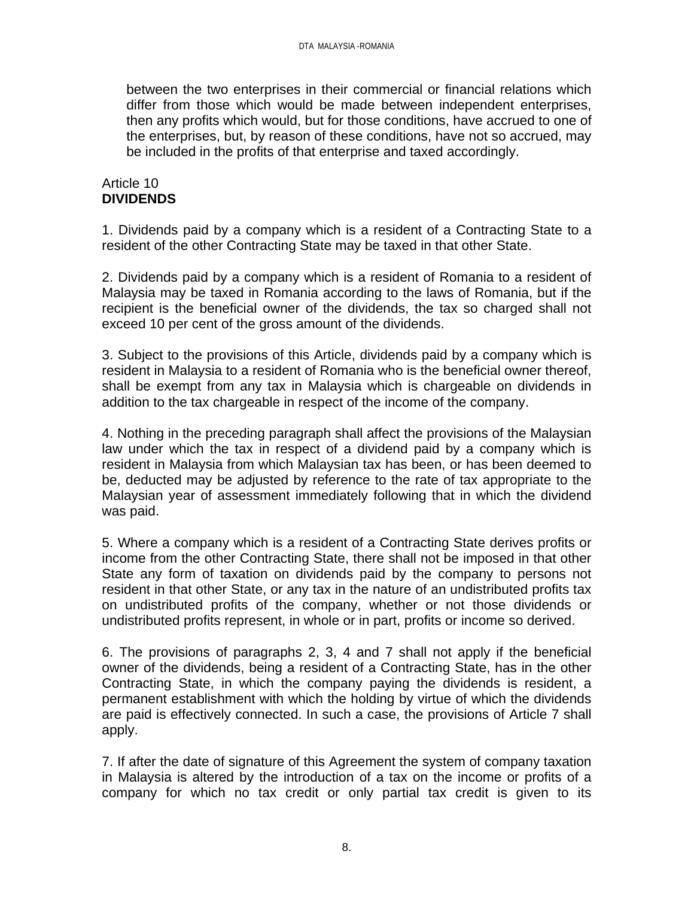between the two enterprises in their commercial or financial relations which differ from those which would be made between independent enterprises, then any profits which would, but for those conditions, have accrued to one of the enterprises, but, by reason of these conditions, have not so accrued, may be included in the profits of that enterprise and taxed accordingly.

## Article 10 **DIVIDENDS**

1. Dividends paid by a company which is a resident of a Contracting State to a resident of the other Contracting State may be taxed in that other State.

2. Dividends paid by a company which is a resident of Romania to a resident of Malaysia may be taxed in Romania according to the laws of Romania, but if the recipient is the beneficial owner of the dividends, the tax so charged shall not exceed 10 per cent of the gross amount of the dividends.

3. Subject to the provisions of this Article, dividends paid by a company which is resident in Malaysia to a resident of Romania who is the beneficial owner thereof, shall be exempt from any tax in Malaysia which is chargeable on dividends in addition to the tax chargeable in respect of the income of the company.

4. Nothing in the preceding paragraph shall affect the provisions of the Malaysian law under which the tax in respect of a dividend paid by a company which is resident in Malaysia from which Malaysian tax has been, or has been deemed to be, deducted may be adjusted by reference to the rate of tax appropriate to the Malaysian year of assessment immediately following that in which the dividend was paid.

5. Where a company which is a resident of a Contracting State derives profits or income from the other Contracting State, there shall not be imposed in that other State any form of taxation on dividends paid by the company to persons not resident in that other State, or any tax in the nature of an undistributed profits tax on undistributed profits of the company, whether or not those dividends or undistributed profits represent, in whole or in part, profits or income so derived.

6. The provisions of paragraphs 2, 3, 4 and 7 shall not apply if the beneficial owner of the dividends, being a resident of a Contracting State, has in the other Contracting State, in which the company paying the dividends is resident, a permanent establishment with which the holding by virtue of which the dividends are paid is effectively connected. In such a case, the provisions of Article 7 shall apply.

7. If after the date of signature of this Agreement the system of company taxation in Malaysia is altered by the introduction of a tax on the income or profits of a company for which no tax credit or only partial tax credit is given to its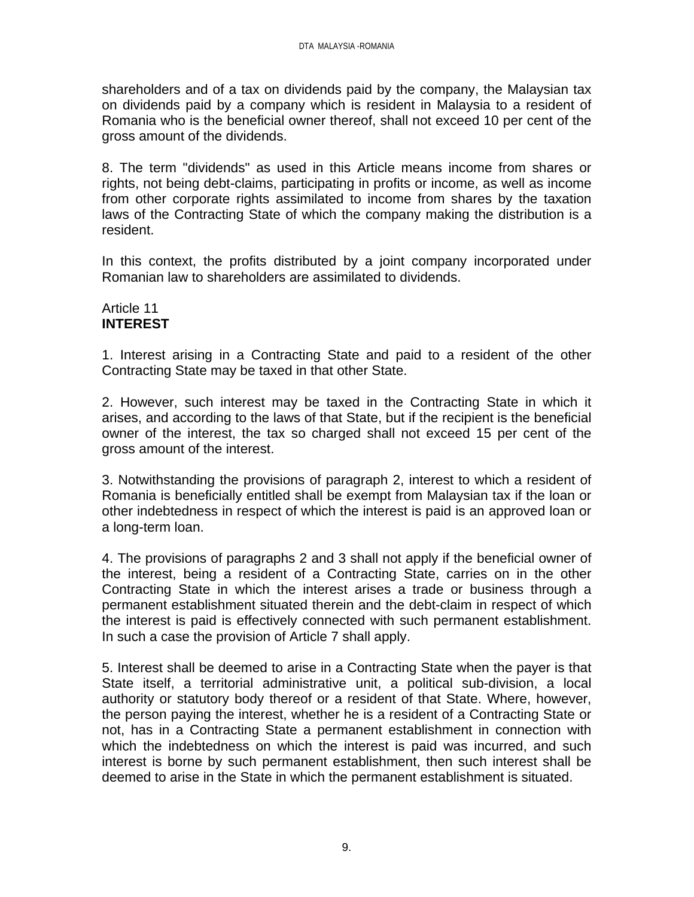shareholders and of a tax on dividends paid by the company, the Malaysian tax on dividends paid by a company which is resident in Malaysia to a resident of Romania who is the beneficial owner thereof, shall not exceed 10 per cent of the gross amount of the dividends.

8. The term "dividends" as used in this Article means income from shares or rights, not being debt-claims, participating in profits or income, as well as income from other corporate rights assimilated to income from shares by the taxation laws of the Contracting State of which the company making the distribution is a resident.

In this context, the profits distributed by a joint company incorporated under Romanian law to shareholders are assimilated to dividends.

### Article 11 **INTEREST**

1. Interest arising in a Contracting State and paid to a resident of the other Contracting State may be taxed in that other State.

2. However, such interest may be taxed in the Contracting State in which it arises, and according to the laws of that State, but if the recipient is the beneficial owner of the interest, the tax so charged shall not exceed 15 per cent of the gross amount of the interest.

3. Notwithstanding the provisions of paragraph 2, interest to which a resident of Romania is beneficially entitled shall be exempt from Malaysian tax if the loan or other indebtedness in respect of which the interest is paid is an approved loan or a long-term loan.

4. The provisions of paragraphs 2 and 3 shall not apply if the beneficial owner of the interest, being a resident of a Contracting State, carries on in the other Contracting State in which the interest arises a trade or business through a permanent establishment situated therein and the debt-claim in respect of which the interest is paid is effectively connected with such permanent establishment. In such a case the provision of Article 7 shall apply.

5. Interest shall be deemed to arise in a Contracting State when the payer is that State itself, a territorial administrative unit, a political sub-division, a local authority or statutory body thereof or a resident of that State. Where, however, the person paying the interest, whether he is a resident of a Contracting State or not, has in a Contracting State a permanent establishment in connection with which the indebtedness on which the interest is paid was incurred, and such interest is borne by such permanent establishment, then such interest shall be deemed to arise in the State in which the permanent establishment is situated.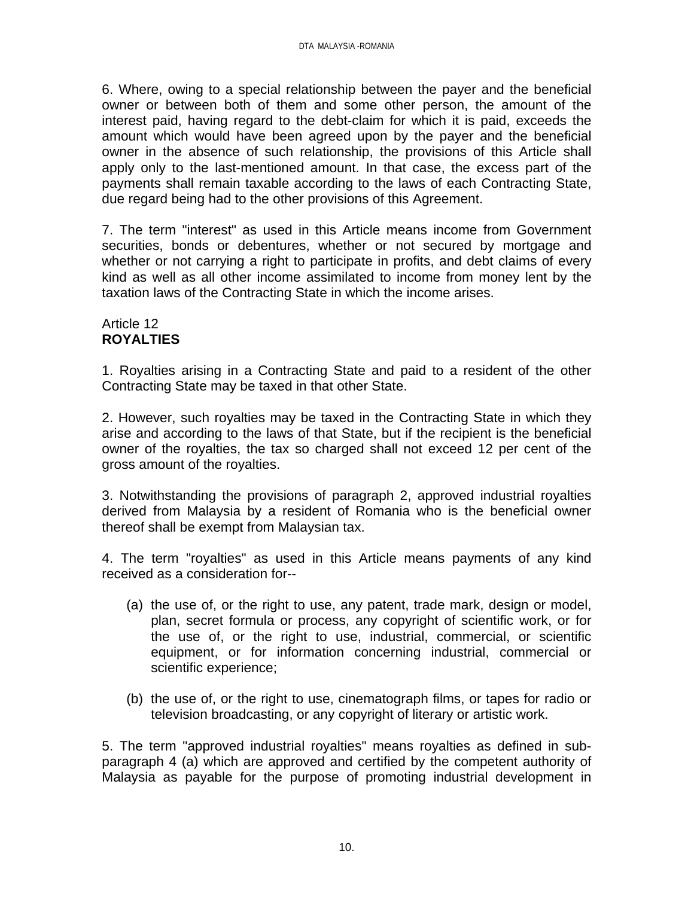6. Where, owing to a special relationship between the payer and the beneficial owner or between both of them and some other person, the amount of the interest paid, having regard to the debt-claim for which it is paid, exceeds the amount which would have been agreed upon by the payer and the beneficial owner in the absence of such relationship, the provisions of this Article shall apply only to the last-mentioned amount. In that case, the excess part of the payments shall remain taxable according to the laws of each Contracting State, due regard being had to the other provisions of this Agreement.

7. The term "interest" as used in this Article means income from Government securities, bonds or debentures, whether or not secured by mortgage and whether or not carrying a right to participate in profits, and debt claims of every kind as well as all other income assimilated to income from money lent by the taxation laws of the Contracting State in which the income arises.

# Article 12 **ROYALTIES**

1. Royalties arising in a Contracting State and paid to a resident of the other Contracting State may be taxed in that other State.

2. However, such royalties may be taxed in the Contracting State in which they arise and according to the laws of that State, but if the recipient is the beneficial owner of the royalties, the tax so charged shall not exceed 12 per cent of the gross amount of the royalties.

3. Notwithstanding the provisions of paragraph 2, approved industrial royalties derived from Malaysia by a resident of Romania who is the beneficial owner thereof shall be exempt from Malaysian tax.

4. The term "royalties" as used in this Article means payments of any kind received as a consideration for--

- (a) the use of, or the right to use, any patent, trade mark, design or model, plan, secret formula or process, any copyright of scientific work, or for the use of, or the right to use, industrial, commercial, or scientific equipment, or for information concerning industrial, commercial or scientific experience;
- (b) the use of, or the right to use, cinematograph films, or tapes for radio or television broadcasting, or any copyright of literary or artistic work.

5. The term "approved industrial royalties" means royalties as defined in subparagraph 4 (a) which are approved and certified by the competent authority of Malaysia as payable for the purpose of promoting industrial development in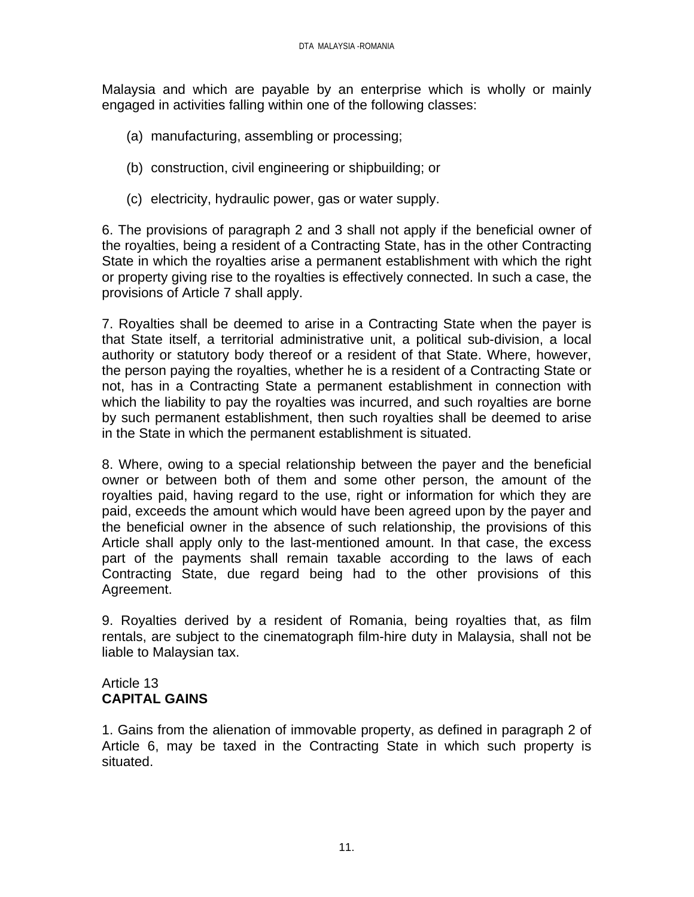Malaysia and which are payable by an enterprise which is wholly or mainly engaged in activities falling within one of the following classes:

- (a) manufacturing, assembling or processing;
- (b) construction, civil engineering or shipbuilding; or
- (c) electricity, hydraulic power, gas or water supply.

6. The provisions of paragraph 2 and 3 shall not apply if the beneficial owner of the royalties, being a resident of a Contracting State, has in the other Contracting State in which the royalties arise a permanent establishment with which the right or property giving rise to the royalties is effectively connected. In such a case, the provisions of Article 7 shall apply.

7. Royalties shall be deemed to arise in a Contracting State when the payer is that State itself, a territorial administrative unit, a political sub-division, a local authority or statutory body thereof or a resident of that State. Where, however, the person paying the royalties, whether he is a resident of a Contracting State or not, has in a Contracting State a permanent establishment in connection with which the liability to pay the royalties was incurred, and such royalties are borne by such permanent establishment, then such royalties shall be deemed to arise in the State in which the permanent establishment is situated.

8. Where, owing to a special relationship between the payer and the beneficial owner or between both of them and some other person, the amount of the royalties paid, having regard to the use, right or information for which they are paid, exceeds the amount which would have been agreed upon by the payer and the beneficial owner in the absence of such relationship, the provisions of this Article shall apply only to the last-mentioned amount. In that case, the excess part of the payments shall remain taxable according to the laws of each Contracting State, due regard being had to the other provisions of this Agreement.

9. Royalties derived by a resident of Romania, being royalties that, as film rentals, are subject to the cinematograph film-hire duty in Malaysia, shall not be liable to Malaysian tax.

# Article 13 **CAPITAL GAINS**

1. Gains from the alienation of immovable property, as defined in paragraph 2 of Article 6, may be taxed in the Contracting State in which such property is situated.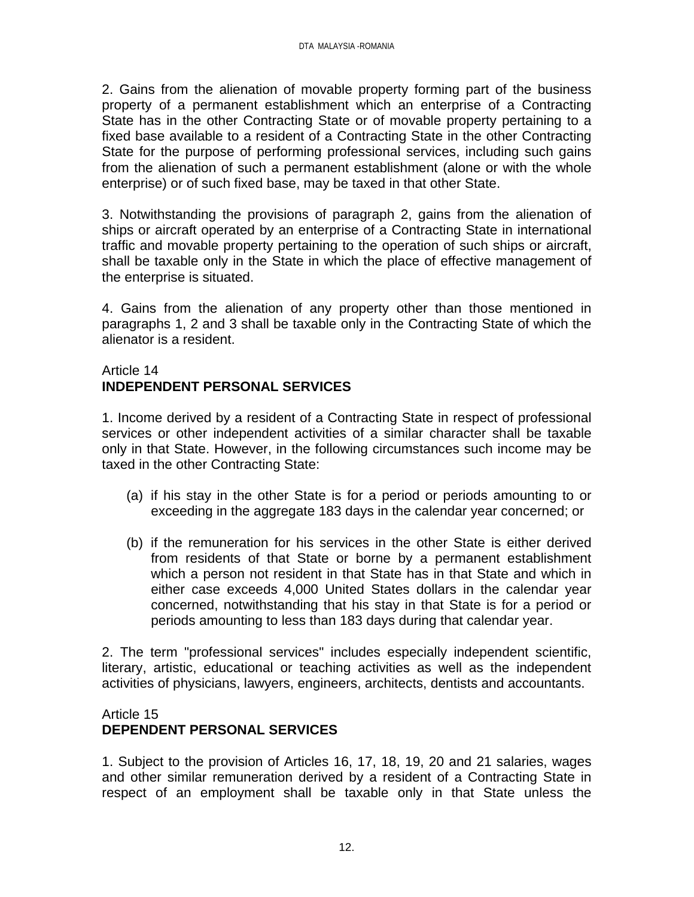2. Gains from the alienation of movable property forming part of the business property of a permanent establishment which an enterprise of a Contracting State has in the other Contracting State or of movable property pertaining to a fixed base available to a resident of a Contracting State in the other Contracting State for the purpose of performing professional services, including such gains from the alienation of such a permanent establishment (alone or with the whole enterprise) or of such fixed base, may be taxed in that other State.

3. Notwithstanding the provisions of paragraph 2, gains from the alienation of ships or aircraft operated by an enterprise of a Contracting State in international traffic and movable property pertaining to the operation of such ships or aircraft, shall be taxable only in the State in which the place of effective management of the enterprise is situated.

4. Gains from the alienation of any property other than those mentioned in paragraphs 1, 2 and 3 shall be taxable only in the Contracting State of which the alienator is a resident.

# Article 14 **INDEPENDENT PERSONAL SERVICES**

1. Income derived by a resident of a Contracting State in respect of professional services or other independent activities of a similar character shall be taxable only in that State. However, in the following circumstances such income may be taxed in the other Contracting State:

- (a) if his stay in the other State is for a period or periods amounting to or exceeding in the aggregate 183 days in the calendar year concerned; or
- (b) if the remuneration for his services in the other State is either derived from residents of that State or borne by a permanent establishment which a person not resident in that State has in that State and which in either case exceeds 4,000 United States dollars in the calendar year concerned, notwithstanding that his stay in that State is for a period or periods amounting to less than 183 days during that calendar year.

2. The term "professional services" includes especially independent scientific, literary, artistic, educational or teaching activities as well as the independent activities of physicians, lawyers, engineers, architects, dentists and accountants.

# Article 15 **DEPENDENT PERSONAL SERVICES**

1. Subject to the provision of Articles 16, 17, 18, 19, 20 and 21 salaries, wages and other similar remuneration derived by a resident of a Contracting State in respect of an employment shall be taxable only in that State unless the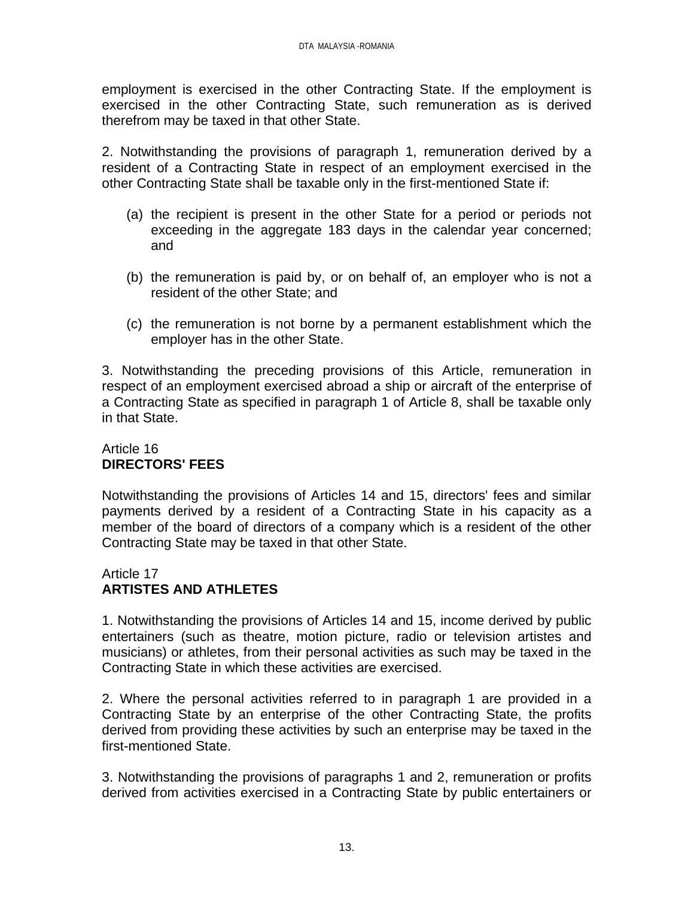employment is exercised in the other Contracting State. If the employment is exercised in the other Contracting State, such remuneration as is derived therefrom may be taxed in that other State.

2. Notwithstanding the provisions of paragraph 1, remuneration derived by a resident of a Contracting State in respect of an employment exercised in the other Contracting State shall be taxable only in the first-mentioned State if:

- (a) the recipient is present in the other State for a period or periods not exceeding in the aggregate 183 days in the calendar year concerned; and
- (b) the remuneration is paid by, or on behalf of, an employer who is not a resident of the other State; and
- (c) the remuneration is not borne by a permanent establishment which the employer has in the other State.

3. Notwithstanding the preceding provisions of this Article, remuneration in respect of an employment exercised abroad a ship or aircraft of the enterprise of a Contracting State as specified in paragraph 1 of Article 8, shall be taxable only in that State.

# Article 16 **DIRECTORS' FEES**

Notwithstanding the provisions of Articles 14 and 15, directors' fees and similar payments derived by a resident of a Contracting State in his capacity as a member of the board of directors of a company which is a resident of the other Contracting State may be taxed in that other State.

# Article 17 **ARTISTES AND ATHLETES**

1. Notwithstanding the provisions of Articles 14 and 15, income derived by public entertainers (such as theatre, motion picture, radio or television artistes and musicians) or athletes, from their personal activities as such may be taxed in the Contracting State in which these activities are exercised.

2. Where the personal activities referred to in paragraph 1 are provided in a Contracting State by an enterprise of the other Contracting State, the profits derived from providing these activities by such an enterprise may be taxed in the first-mentioned State.

3. Notwithstanding the provisions of paragraphs 1 and 2, remuneration or profits derived from activities exercised in a Contracting State by public entertainers or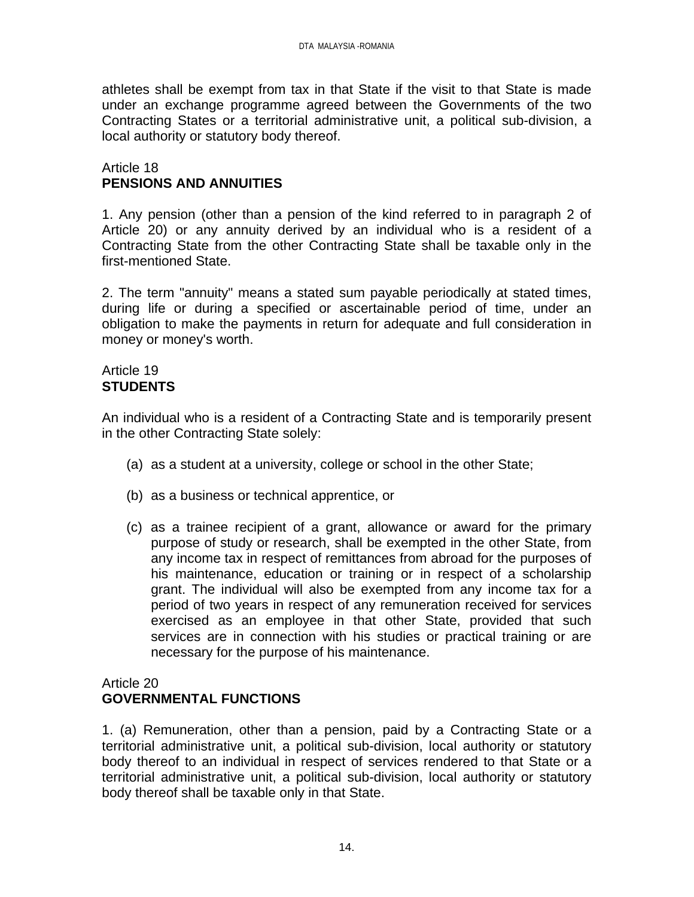athletes shall be exempt from tax in that State if the visit to that State is made under an exchange programme agreed between the Governments of the two Contracting States or a territorial administrative unit, a political sub-division, a local authority or statutory body thereof.

## Article 18 **PENSIONS AND ANNUITIES**

1. Any pension (other than a pension of the kind referred to in paragraph 2 of Article 20) or any annuity derived by an individual who is a resident of a Contracting State from the other Contracting State shall be taxable only in the first-mentioned State.

2. The term "annuity" means a stated sum payable periodically at stated times, during life or during a specified or ascertainable period of time, under an obligation to make the payments in return for adequate and full consideration in money or money's worth.

### Article 19 **STUDENTS**

An individual who is a resident of a Contracting State and is temporarily present in the other Contracting State solely:

- (a) as a student at a university, college or school in the other State;
- (b) as a business or technical apprentice, or
- (c) as a trainee recipient of a grant, allowance or award for the primary purpose of study or research, shall be exempted in the other State, from any income tax in respect of remittances from abroad for the purposes of his maintenance, education or training or in respect of a scholarship grant. The individual will also be exempted from any income tax for a period of two years in respect of any remuneration received for services exercised as an employee in that other State, provided that such services are in connection with his studies or practical training or are necessary for the purpose of his maintenance.

Article 20

# **GOVERNMENTAL FUNCTIONS**

1. (a) Remuneration, other than a pension, paid by a Contracting State or a territorial administrative unit, a political sub-division, local authority or statutory body thereof to an individual in respect of services rendered to that State or a territorial administrative unit, a political sub-division, local authority or statutory body thereof shall be taxable only in that State.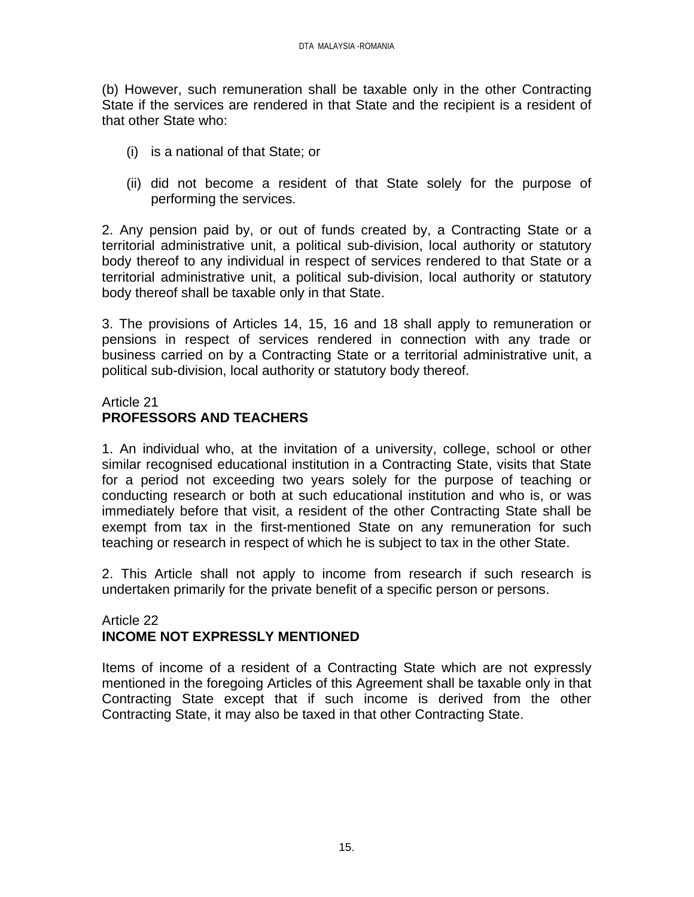(b) However, such remuneration shall be taxable only in the other Contracting State if the services are rendered in that State and the recipient is a resident of that other State who:

- (i) is a national of that State; or
- (ii) did not become a resident of that State solely for the purpose of performing the services.

2. Any pension paid by, or out of funds created by, a Contracting State or a territorial administrative unit, a political sub-division, local authority or statutory body thereof to any individual in respect of services rendered to that State or a territorial administrative unit, a political sub-division, local authority or statutory body thereof shall be taxable only in that State.

3. The provisions of Articles 14, 15, 16 and 18 shall apply to remuneration or pensions in respect of services rendered in connection with any trade or business carried on by a Contracting State or a territorial administrative unit, a political sub-division, local authority or statutory body thereof.

### Article 21 **PROFESSORS AND TEACHERS**

1. An individual who, at the invitation of a university, college, school or other similar recognised educational institution in a Contracting State, visits that State for a period not exceeding two years solely for the purpose of teaching or conducting research or both at such educational institution and who is, or was immediately before that visit, a resident of the other Contracting State shall be exempt from tax in the first-mentioned State on any remuneration for such teaching or research in respect of which he is subject to tax in the other State.

2. This Article shall not apply to income from research if such research is undertaken primarily for the private benefit of a specific person or persons.

# Article 22 **INCOME NOT EXPRESSLY MENTIONED**

Items of income of a resident of a Contracting State which are not expressly mentioned in the foregoing Articles of this Agreement shall be taxable only in that Contracting State except that if such income is derived from the other Contracting State, it may also be taxed in that other Contracting State.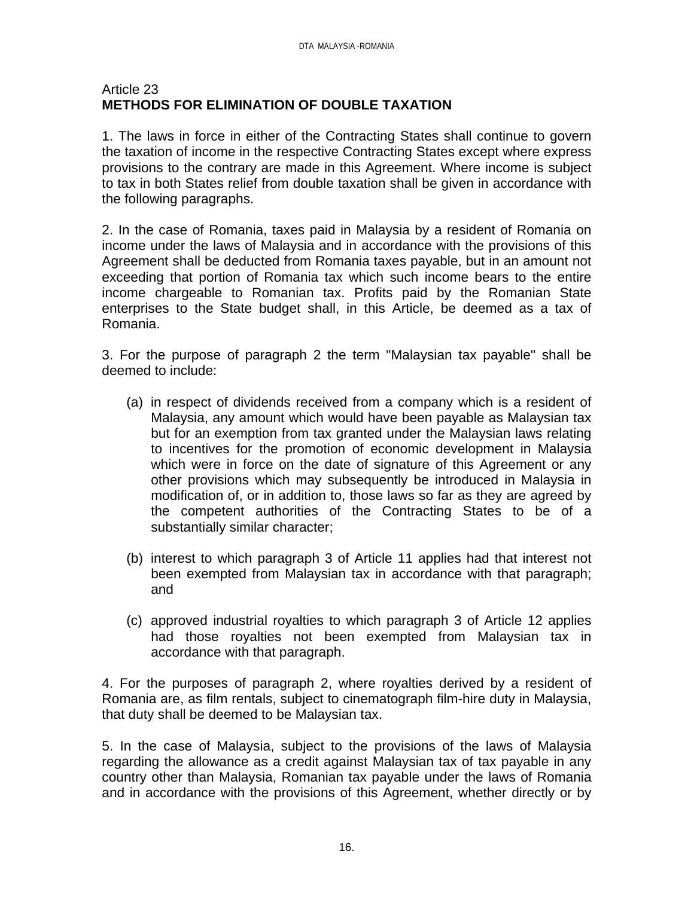## Article 23 **METHODS FOR ELIMINATION OF DOUBLE TAXATION**

1. The laws in force in either of the Contracting States shall continue to govern the taxation of income in the respective Contracting States except where express provisions to the contrary are made in this Agreement. Where income is subject to tax in both States relief from double taxation shall be given in accordance with the following paragraphs.

2. In the case of Romania, taxes paid in Malaysia by a resident of Romania on income under the laws of Malaysia and in accordance with the provisions of this Agreement shall be deducted from Romania taxes payable, but in an amount not exceeding that portion of Romania tax which such income bears to the entire income chargeable to Romanian tax. Profits paid by the Romanian State enterprises to the State budget shall, in this Article, be deemed as a tax of Romania.

3. For the purpose of paragraph 2 the term "Malaysian tax payable" shall be deemed to include:

- (a) in respect of dividends received from a company which is a resident of Malaysia, any amount which would have been payable as Malaysian tax but for an exemption from tax granted under the Malaysian laws relating to incentives for the promotion of economic development in Malaysia which were in force on the date of signature of this Agreement or any other provisions which may subsequently be introduced in Malaysia in modification of, or in addition to, those laws so far as they are agreed by the competent authorities of the Contracting States to be of a substantially similar character;
- (b) interest to which paragraph 3 of Article 11 applies had that interest not been exempted from Malaysian tax in accordance with that paragraph; and
- (c) approved industrial royalties to which paragraph 3 of Article 12 applies had those royalties not been exempted from Malaysian tax in accordance with that paragraph.

4. For the purposes of paragraph 2, where royalties derived by a resident of Romania are, as film rentals, subject to cinematograph film-hire duty in Malaysia, that duty shall be deemed to be Malaysian tax.

5. In the case of Malaysia, subject to the provisions of the laws of Malaysia regarding the allowance as a credit against Malaysian tax of tax payable in any country other than Malaysia, Romanian tax payable under the laws of Romania and in accordance with the provisions of this Agreement, whether directly or by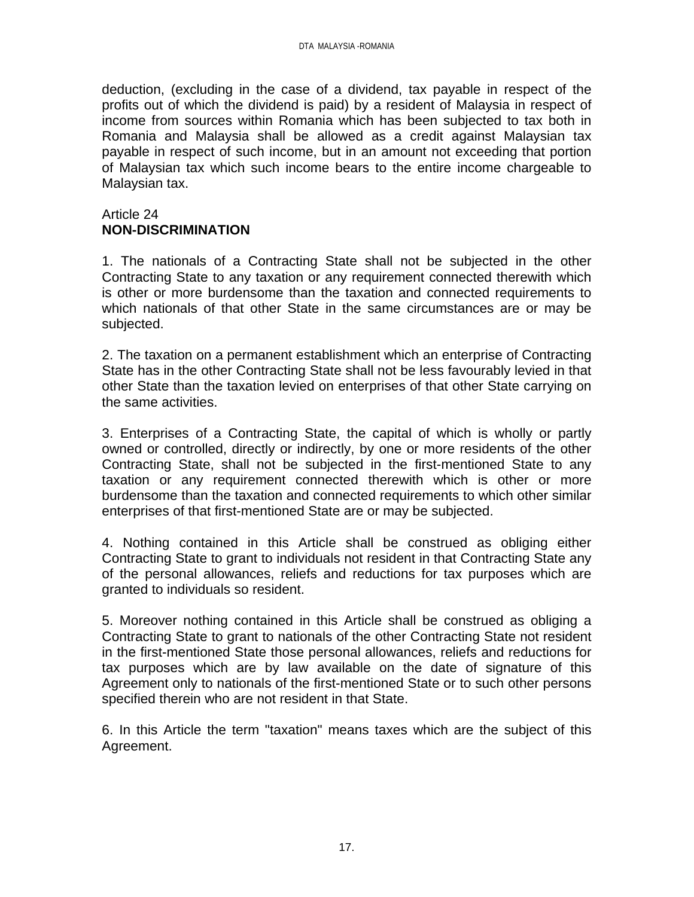deduction, (excluding in the case of a dividend, tax payable in respect of the profits out of which the dividend is paid) by a resident of Malaysia in respect of income from sources within Romania which has been subjected to tax both in Romania and Malaysia shall be allowed as a credit against Malaysian tax payable in respect of such income, but in an amount not exceeding that portion of Malaysian tax which such income bears to the entire income chargeable to Malaysian tax.

## Article 24 **NON-DISCRIMINATION**

1. The nationals of a Contracting State shall not be subjected in the other Contracting State to any taxation or any requirement connected therewith which is other or more burdensome than the taxation and connected requirements to which nationals of that other State in the same circumstances are or may be subjected.

2. The taxation on a permanent establishment which an enterprise of Contracting State has in the other Contracting State shall not be less favourably levied in that other State than the taxation levied on enterprises of that other State carrying on the same activities.

3. Enterprises of a Contracting State, the capital of which is wholly or partly owned or controlled, directly or indirectly, by one or more residents of the other Contracting State, shall not be subjected in the first-mentioned State to any taxation or any requirement connected therewith which is other or more burdensome than the taxation and connected requirements to which other similar enterprises of that first-mentioned State are or may be subjected.

4. Nothing contained in this Article shall be construed as obliging either Contracting State to grant to individuals not resident in that Contracting State any of the personal allowances, reliefs and reductions for tax purposes which are granted to individuals so resident.

5. Moreover nothing contained in this Article shall be construed as obliging a Contracting State to grant to nationals of the other Contracting State not resident in the first-mentioned State those personal allowances, reliefs and reductions for tax purposes which are by law available on the date of signature of this Agreement only to nationals of the first-mentioned State or to such other persons specified therein who are not resident in that State.

6. In this Article the term "taxation" means taxes which are the subject of this Agreement.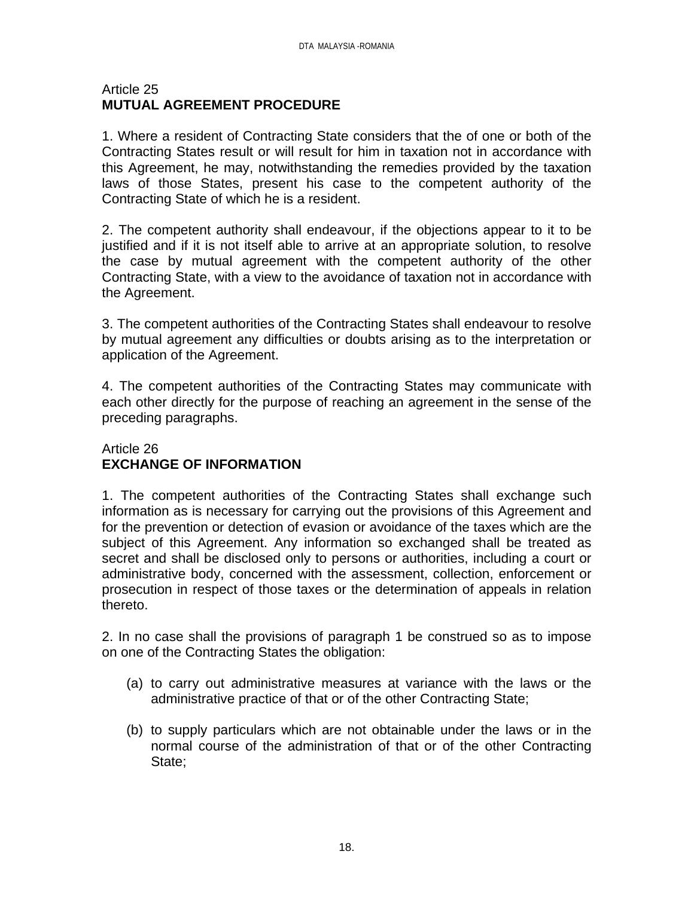## Article 25 **MUTUAL AGREEMENT PROCEDURE**

1. Where a resident of Contracting State considers that the of one or both of the Contracting States result or will result for him in taxation not in accordance with this Agreement, he may, notwithstanding the remedies provided by the taxation laws of those States, present his case to the competent authority of the Contracting State of which he is a resident.

2. The competent authority shall endeavour, if the objections appear to it to be justified and if it is not itself able to arrive at an appropriate solution, to resolve the case by mutual agreement with the competent authority of the other Contracting State, with a view to the avoidance of taxation not in accordance with the Agreement.

3. The competent authorities of the Contracting States shall endeavour to resolve by mutual agreement any difficulties or doubts arising as to the interpretation or application of the Agreement.

4. The competent authorities of the Contracting States may communicate with each other directly for the purpose of reaching an agreement in the sense of the preceding paragraphs.

# Article 26 **EXCHANGE OF INFORMATION**

1. The competent authorities of the Contracting States shall exchange such information as is necessary for carrying out the provisions of this Agreement and for the prevention or detection of evasion or avoidance of the taxes which are the subject of this Agreement. Any information so exchanged shall be treated as secret and shall be disclosed only to persons or authorities, including a court or administrative body, concerned with the assessment, collection, enforcement or prosecution in respect of those taxes or the determination of appeals in relation thereto.

2. In no case shall the provisions of paragraph 1 be construed so as to impose on one of the Contracting States the obligation:

- (a) to carry out administrative measures at variance with the laws or the administrative practice of that or of the other Contracting State;
- (b) to supply particulars which are not obtainable under the laws or in the normal course of the administration of that or of the other Contracting State;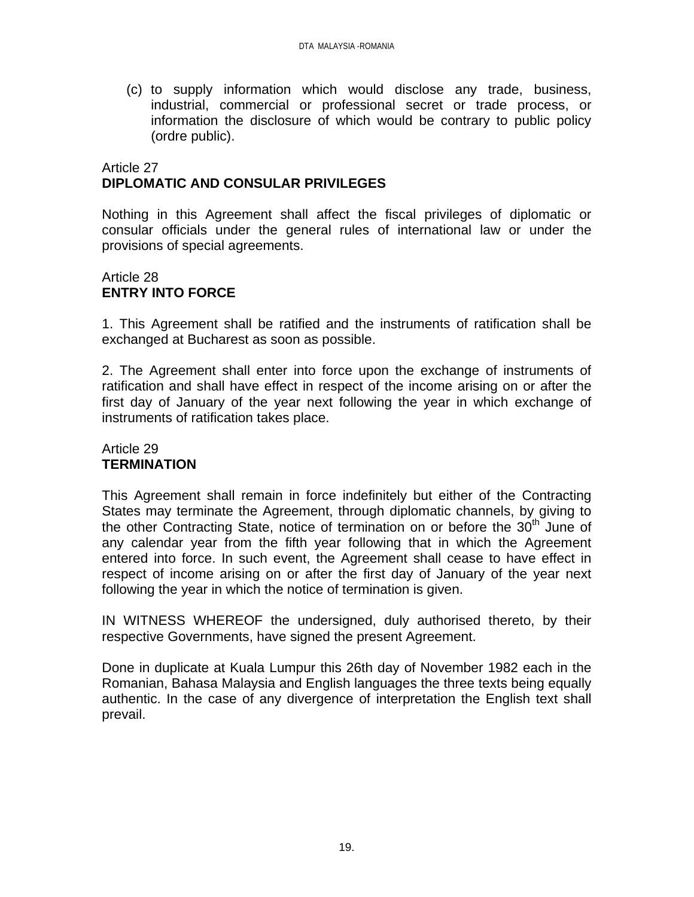(c) to supply information which would disclose any trade, business, industrial, commercial or professional secret or trade process, or information the disclosure of which would be contrary to public policy (ordre public).

# Article 27 **DIPLOMATIC AND CONSULAR PRIVILEGES**

Nothing in this Agreement shall affect the fiscal privileges of diplomatic or consular officials under the general rules of international law or under the provisions of special agreements.

# Article 28 **ENTRY INTO FORCE**

1. This Agreement shall be ratified and the instruments of ratification shall be exchanged at Bucharest as soon as possible.

2. The Agreement shall enter into force upon the exchange of instruments of ratification and shall have effect in respect of the income arising on or after the first day of January of the year next following the year in which exchange of instruments of ratification takes place.

# Article 29 **TERMINATION**

This Agreement shall remain in force indefinitely but either of the Contracting States may terminate the Agreement, through diplomatic channels, by giving to the other Contracting State, notice of termination on or before the  $30<sup>th</sup>$  June of any calendar year from the fifth year following that in which the Agreement entered into force. In such event, the Agreement shall cease to have effect in respect of income arising on or after the first day of January of the year next following the year in which the notice of termination is given.

IN WITNESS WHEREOF the undersigned, duly authorised thereto, by their respective Governments, have signed the present Agreement.

Done in duplicate at Kuala Lumpur this 26th day of November 1982 each in the Romanian, Bahasa Malaysia and English languages the three texts being equally authentic. In the case of any divergence of interpretation the English text shall prevail.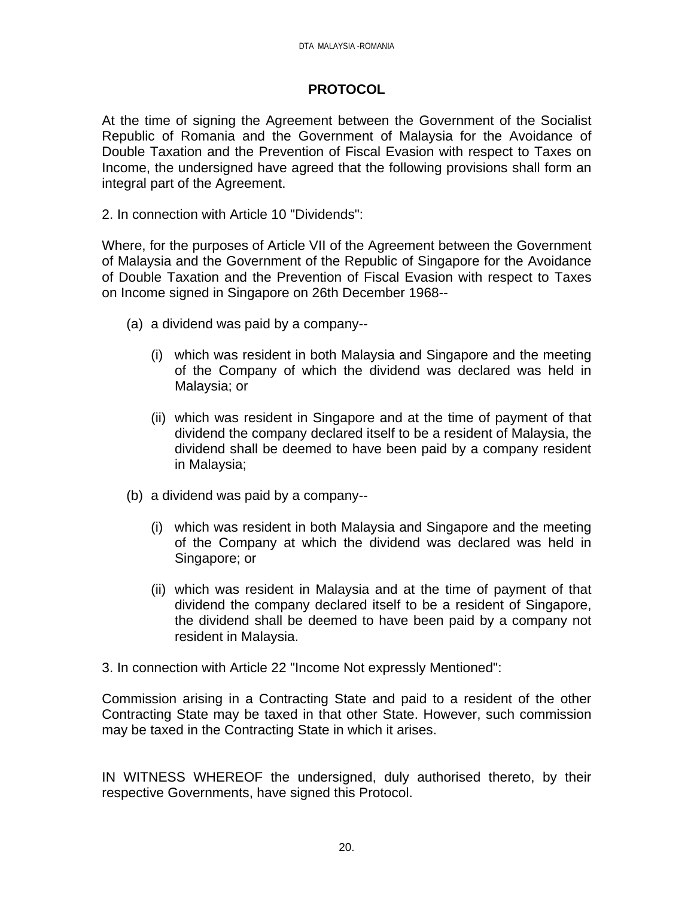# **PROTOCOL**

At the time of signing the Agreement between the Government of the Socialist Republic of Romania and the Government of Malaysia for the Avoidance of Double Taxation and the Prevention of Fiscal Evasion with respect to Taxes on Income, the undersigned have agreed that the following provisions shall form an integral part of the Agreement.

2. In connection with Article 10 "Dividends":

Where, for the purposes of Article VII of the Agreement between the Government of Malaysia and the Government of the Republic of Singapore for the Avoidance of Double Taxation and the Prevention of Fiscal Evasion with respect to Taxes on Income signed in Singapore on 26th December 1968--

- (a) a dividend was paid by a company--
	- (i) which was resident in both Malaysia and Singapore and the meeting of the Company of which the dividend was declared was held in Malaysia; or
	- (ii) which was resident in Singapore and at the time of payment of that dividend the company declared itself to be a resident of Malaysia, the dividend shall be deemed to have been paid by a company resident in Malaysia;
- (b) a dividend was paid by a company--
	- (i) which was resident in both Malaysia and Singapore and the meeting of the Company at which the dividend was declared was held in Singapore; or
	- (ii) which was resident in Malaysia and at the time of payment of that dividend the company declared itself to be a resident of Singapore, the dividend shall be deemed to have been paid by a company not resident in Malaysia.

3. In connection with Article 22 "Income Not expressly Mentioned":

Commission arising in a Contracting State and paid to a resident of the other Contracting State may be taxed in that other State. However, such commission may be taxed in the Contracting State in which it arises.

IN WITNESS WHEREOF the undersigned, duly authorised thereto, by their respective Governments, have signed this Protocol.